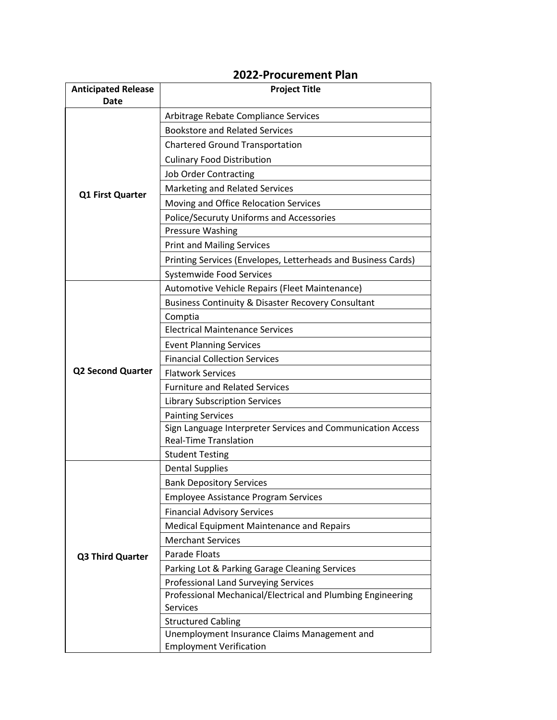## **Anticipated Release Date Project Title Q1 First Quarter** Arbitrage Rebate Compliance Services Bookstore and Related Services Chartered Ground Transportation Culinary Food Distribution Job Order Contracting Marketing and Related Services Moving and Office Relocation Services Police/Securuty Uniforms and Accessories Pressure Washing Print and Mailing Services Printing Services (Envelopes, Letterheads and Business Cards) Systemwide Food Services **Q2 Second Quarter** Automotive Vehicle Repairs (Fleet Maintenance) Business Continuity & Disaster Recovery Consultant Comptia Electrical Maintenance Services Event Planning Services Financial Collection Services Flatwork Services Furniture and Related Services Library Subscription Services Painting Services Sign Language Interpreter Services and Communication Access Real-Time Translation Student Testing **Q3 Third Quarter** Dental Supplies Bank Depository Services Employee Assistance Program Services Financial Advisory Services Medical Equipment Maintenance and Repairs Merchant Services Parade Floats Parking Lot & Parking Garage Cleaning Services Professional Land Surveying Services Professional Mechanical/Electrical and Plumbing Engineering Services Structured Cabling Unemployment Insurance Claims Management and Employment Verification

## **2022-Procurement Plan**